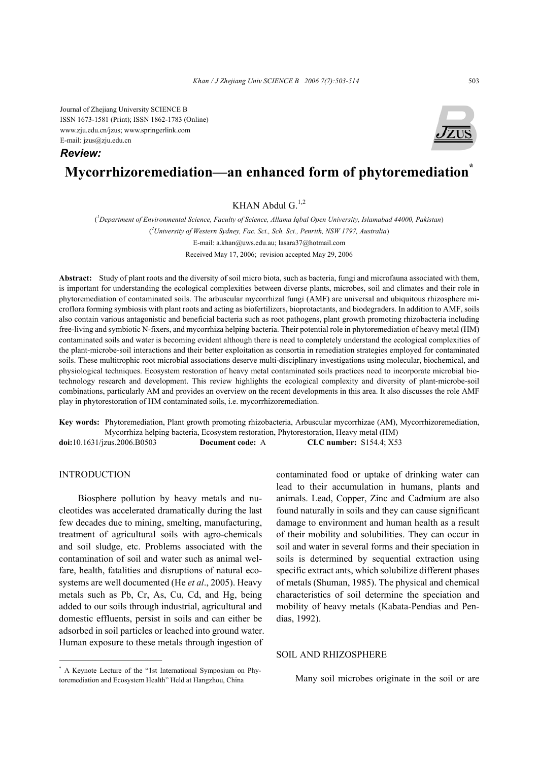Journal of Zhejiang University SCIENCE B ISSN 1673-1581 (Print); ISSN 1862-1783 (Online) www.zju.edu.cn/jzus; www.springerlink.com E-mail: jzus@zju.edu.cn

## *Review:*



# **Mycorrhizoremediation—an enhanced form of phytoremediation\***

KHAN Abdul  $G<sup>1,2</sup>$ 

( *1 Department of Environmental Science, Faculty of Science, Allama Iqbal Open University, Islamabad 44000, Pakistan*) ( *2 University of Western Sydney, Fac. Sci., Sch. Sci., Penrith, NSW 1797, Australia*) E-mail: a.khan@uws.edu.au; lasara37@hotmail.com Received May 17, 2006; revision accepted May 29, 2006

**Abstract:** Study of plant roots and the diversity of soil micro biota, such as bacteria, fungi and microfauna associated with them, is important for understanding the ecological complexities between diverse plants, microbes, soil and climates and their role in phytoremediation of contaminated soils. The arbuscular mycorrhizal fungi (AMF) are universal and ubiquitous rhizosphere microflora forming symbiosis with plant roots and acting as biofertilizers, bioprotactants, and biodegraders. In addition to AMF, soils also contain various antagonistic and beneficial bacteria such as root pathogens, plant growth promoting rhizobacteria including free-living and symbiotic N-fixers, and mycorrhiza helping bacteria. Their potential role in phytoremediation of heavy metal (HM) contaminated soils and water is becoming evident although there is need to completely understand the ecological complexities of the plant-microbe-soil interactions and their better exploitation as consortia in remediation strategies employed for contaminated soils. These multitrophic root microbial associations deserve multi-disciplinary investigations using molecular, biochemical, and physiological techniques. Ecosystem restoration of heavy metal contaminated soils practices need to incorporate microbial biotechnology research and development. This review highlights the ecological complexity and diversity of plant-microbe-soil combinations, particularly AM and provides an overview on the recent developments in this area. It also discusses the role AMF play in phytorestoration of HM contaminated soils, i.e. mycorrhizoremediation.

**Key words:** Phytoremediation, Plant growth promoting rhizobacteria, Arbuscular mycorrhizae (AM), Mycorrhizoremediation, Mycorrhiza helping bacteria, Ecosystem restoration, Phytorestoration, Heavy metal (HM) **doi:**10.1631/jzus.2006.B0503 **Document code:** A **CLC number:** S154.4; X53

# INTRODUCTION

Biosphere pollution by heavy metals and nucleotides was accelerated dramatically during the last few decades due to mining, smelting, manufacturing, treatment of agricultural soils with agro-chemicals and soil sludge, etc. Problems associated with the contamination of soil and water such as animal welfare, health, fatalities and disruptions of natural ecosystems are well documented (He *et al*., 2005). Heavy metals such as Pb, Cr, As, Cu, Cd, and Hg, being added to our soils through industrial, agricultural and domestic effluents, persist in soils and can either be adsorbed in soil particles or leached into ground water. Human exposure to these metals through ingestion of

contaminated food or uptake of drinking water can lead to their accumulation in humans, plants and animals. Lead, Copper, Zinc and Cadmium are also found naturally in soils and they can cause significant damage to environment and human health as a result of their mobility and solubilities. They can occur in soil and water in several forms and their speciation in soils is determined by sequential extraction using specific extract ants, which solubilize different phases of metals (Shuman, 1985). The physical and chemical characteristics of soil determine the speciation and mobility of heavy metals (Kabata-Pendias and Pendias, 1992).

# SOIL AND RHIZOSPHERE

Many soil microbes originate in the soil or are

<sup>\*</sup> A Keynote Lecture of the "1st International Symposium on Phytoremediation and Ecosystem Health" Held at Hangzhou, China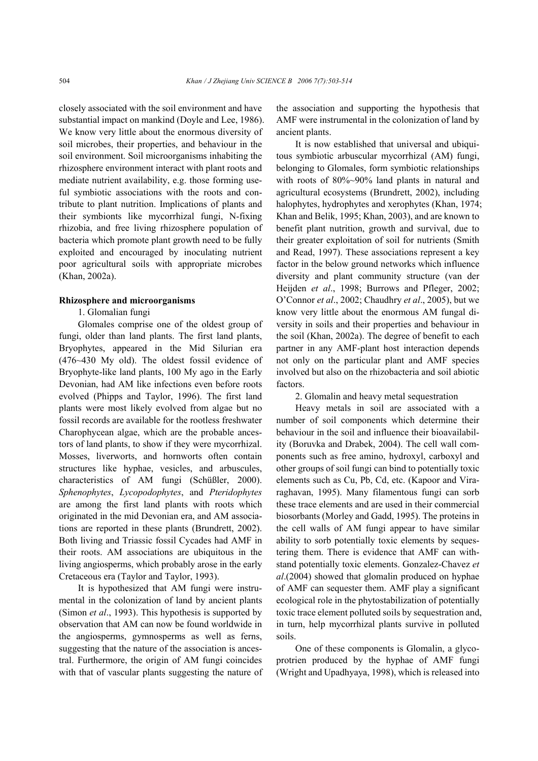closely associated with the soil environment and have substantial impact on mankind (Doyle and Lee, 1986). We know very little about the enormous diversity of soil microbes, their properties, and behaviour in the soil environment. Soil microorganisms inhabiting the rhizosphere environment interact with plant roots and mediate nutrient availability, e.g. those forming useful symbiotic associations with the roots and contribute to plant nutrition. Implications of plants and their symbionts like mycorrhizal fungi, N-fixing rhizobia, and free living rhizosphere population of bacteria which promote plant growth need to be fully exploited and encouraged by inoculating nutrient poor agricultural soils with appropriate microbes (Khan, 2002a).

#### **Rhizosphere and microorganisms**

# 1. Glomalian fungi

Glomales comprise one of the oldest group of fungi, older than land plants. The first land plants, Bryophytes, appeared in the Mid Silurian era (476~430 My old). The oldest fossil evidence of Bryophyte-like land plants, 100 My ago in the Early Devonian, had AM like infections even before roots evolved (Phipps and Taylor, 1996). The first land plants were most likely evolved from algae but no fossil records are available for the rootless freshwater Charophycean algae, which are the probable ancestors of land plants, to show if they were mycorrhizal. Mosses, liverworts, and hornworts often contain structures like hyphae, vesicles, and arbuscules, characteristics of AM fungi (Schüßler, 2000). *Sphenophytes*, *Lycopodophytes*, and *Pteridophytes* are among the first land plants with roots which originated in the mid Devonian era, and AM associations are reported in these plants (Brundrett, 2002). Both living and Triassic fossil Cycades had AMF in their roots. AM associations are ubiquitous in the living angiosperms, which probably arose in the early Cretaceous era (Taylor and Taylor, 1993).

It is hypothesized that AM fungi were instrumental in the colonization of land by ancient plants (Simon *et al*., 1993). This hypothesis is supported by observation that AM can now be found worldwide in the angiosperms, gymnosperms as well as ferns, suggesting that the nature of the association is ancestral. Furthermore, the origin of AM fungi coincides with that of vascular plants suggesting the nature of the association and supporting the hypothesis that AMF were instrumental in the colonization of land by ancient plants.

It is now established that universal and ubiquitous symbiotic arbuscular mycorrhizal (AM) fungi, belonging to Glomales, form symbiotic relationships with roots of 80%~90% land plants in natural and agricultural ecosystems (Brundrett, 2002), including halophytes, hydrophytes and xerophytes (Khan, 1974; Khan and Belik, 1995; Khan, 2003), and are known to benefit plant nutrition, growth and survival, due to their greater exploitation of soil for nutrients (Smith and Read, 1997). These associations represent a key factor in the below ground networks which influence diversity and plant community structure (van der Heijden *et al*., 1998; Burrows and Pfleger, 2002; O'Connor *et al*., 2002; Chaudhry *et al*., 2005), but we know very little about the enormous AM fungal diversity in soils and their properties and behaviour in the soil (Khan, 2002a). The degree of benefit to each partner in any AMF-plant host interaction depends not only on the particular plant and AMF species involved but also on the rhizobacteria and soil abiotic factors.

2. Glomalin and heavy metal sequestration

Heavy metals in soil are associated with a number of soil components which determine their behaviour in the soil and influence their bioavailability (Boruvka and Drabek, 2004). The cell wall components such as free amino, hydroxyl, carboxyl and other groups of soil fungi can bind to potentially toxic elements such as Cu, Pb, Cd, etc. (Kapoor and Viraraghavan, 1995). Many filamentous fungi can sorb these trace elements and are used in their commercial biosorbants (Morley and Gadd, 1995). The proteins in the cell walls of AM fungi appear to have similar ability to sorb potentially toxic elements by sequestering them. There is evidence that AMF can withstand potentially toxic elements. Gonzalez-Chavez *et al*.(2004) showed that glomalin produced on hyphae of AMF can sequester them. AMF play a significant ecological role in the phytostabilization of potentially toxic trace element polluted soils by sequestration and, in turn, help mycorrhizal plants survive in polluted soils.

One of these components is Glomalin, a glycoprotrien produced by the hyphae of AMF fungi (Wright and Upadhyaya, 1998), which is released into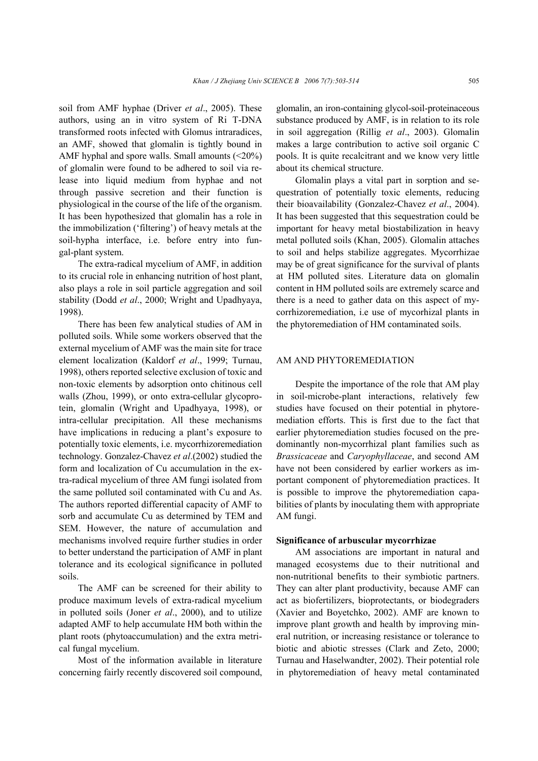soil from AMF hyphae (Driver *et al*., 2005). These authors, using an in vitro system of Ri T-DNA transformed roots infected with Glomus intraradices, an AMF, showed that glomalin is tightly bound in AMF hyphal and spore walls. Small amounts  $(\leq 20\%)$ of glomalin were found to be adhered to soil via release into liquid medium from hyphae and not through passive secretion and their function is physiological in the course of the life of the organism. It has been hypothesized that glomalin has a role in the immobilization ('filtering') of heavy metals at the soil-hypha interface, i.e. before entry into fungal-plant system.

The extra-radical mycelium of AMF, in addition to its crucial role in enhancing nutrition of host plant, also plays a role in soil particle aggregation and soil stability (Dodd *et al*., 2000; Wright and Upadhyaya, 1998).

There has been few analytical studies of AM in polluted soils. While some workers observed that the external mycelium of AMF was the main site for trace element localization (Kaldorf *et al*., 1999; Turnau, 1998), others reported selective exclusion of toxic and non-toxic elements by adsorption onto chitinous cell walls (Zhou, 1999), or onto extra-cellular glycoprotein, glomalin (Wright and Upadhyaya, 1998), or intra-cellular precipitation. All these mechanisms have implications in reducing a plant's exposure to potentially toxic elements, i.e. mycorrhizoremediation technology. Gonzalez-Chavez *et al*.(2002) studied the form and localization of Cu accumulation in the extra-radical mycelium of three AM fungi isolated from the same polluted soil contaminated with Cu and As. The authors reported differential capacity of AMF to sorb and accumulate Cu as determined by TEM and SEM. However, the nature of accumulation and mechanisms involved require further studies in order to better understand the participation of AMF in plant tolerance and its ecological significance in polluted soils.

The AMF can be screened for their ability to produce maximum levels of extra-radical mycelium in polluted soils (Joner *et al*., 2000), and to utilize adapted AMF to help accumulate HM both within the plant roots (phytoaccumulation) and the extra metrical fungal mycelium.

Most of the information available in literature concerning fairly recently discovered soil compound, glomalin, an iron-containing glycol-soil-proteinaceous substance produced by AMF, is in relation to its role in soil aggregation (Rillig *et al*., 2003). Glomalin makes a large contribution to active soil organic C pools. It is quite recalcitrant and we know very little about its chemical structure.

Glomalin plays a vital part in sorption and sequestration of potentially toxic elements, reducing their bioavailability (Gonzalez-Chavez *et al*., 2004). It has been suggested that this sequestration could be important for heavy metal biostabilization in heavy metal polluted soils (Khan, 2005). Glomalin attaches to soil and helps stabilize aggregates. Mycorrhizae may be of great significance for the survival of plants at HM polluted sites. Literature data on glomalin content in HM polluted soils are extremely scarce and there is a need to gather data on this aspect of mycorrhizoremediation, i.e use of mycorhizal plants in the phytoremediation of HM contaminated soils.

## AM AND PHYTOREMEDIATION

Despite the importance of the role that AM play in soil-microbe-plant interactions, relatively few studies have focused on their potential in phytoremediation efforts. This is first due to the fact that earlier phytoremediation studies focused on the predominantly non-mycorrhizal plant families such as *Brassicaceae* and *Caryophyllaceae*, and second AM have not been considered by earlier workers as important component of phytoremediation practices. It is possible to improve the phytoremediation capabilities of plants by inoculating them with appropriate AM fungi.

# **Significance of arbuscular mycorrhizae**

AM associations are important in natural and managed ecosystems due to their nutritional and non-nutritional benefits to their symbiotic partners. They can alter plant productivity, because AMF can act as biofertilizers, bioprotectants, or biodegraders (Xavier and Boyetchko, 2002). AMF are known to improve plant growth and health by improving mineral nutrition, or increasing resistance or tolerance to biotic and abiotic stresses (Clark and Zeto, 2000; Turnau and Haselwandter, 2002). Their potential role in phytoremediation of heavy metal contaminated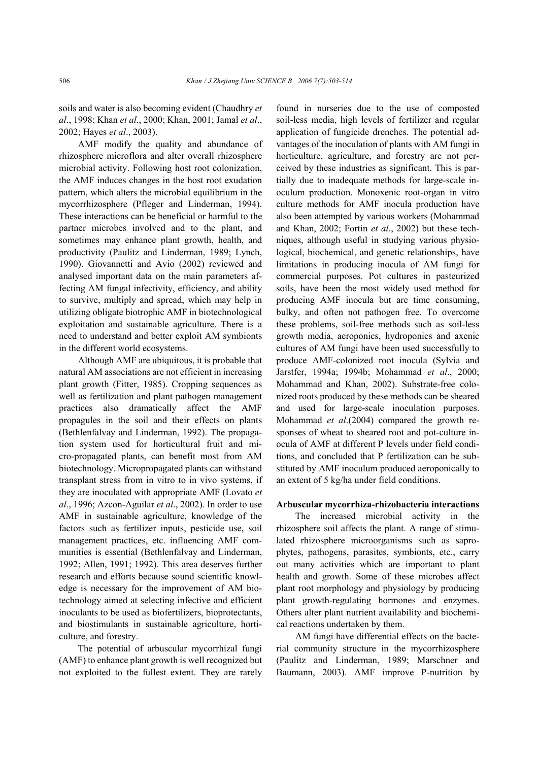soils and water is also becoming evident (Chaudhry *et al*., 1998; Khan *et al*., 2000; Khan, 2001; Jamal *et al*., 2002; Hayes *et al*., 2003).

AMF modify the quality and abundance of rhizosphere microflora and alter overall rhizosphere microbial activity. Following host root colonization, the AMF induces changes in the host root exudation pattern, which alters the microbial equilibrium in the mycorrhizosphere (Pfleger and Linderman, 1994). These interactions can be beneficial or harmful to the partner microbes involved and to the plant, and sometimes may enhance plant growth, health, and productivity (Paulitz and Linderman, 1989; Lynch, 1990). Giovannetti and Avio (2002) reviewed and analysed important data on the main parameters affecting AM fungal infectivity, efficiency, and ability to survive, multiply and spread, which may help in utilizing obligate biotrophic AMF in biotechnological exploitation and sustainable agriculture. There is a need to understand and better exploit AM symbionts in the different world ecosystems.

Although AMF are ubiquitous, it is probable that natural AM associations are not efficient in increasing plant growth (Fitter, 1985). Cropping sequences as well as fertilization and plant pathogen management practices also dramatically affect the AMF propagules in the soil and their effects on plants (Bethlenfalvay and Linderman, 1992). The propagation system used for horticultural fruit and micro-propagated plants, can benefit most from AM biotechnology. Micropropagated plants can withstand transplant stress from in vitro to in vivo systems, if they are inoculated with appropriate AMF (Lovato *et al*., 1996; Azcon-Aguilar *et al*., 2002). In order to use AMF in sustainable agriculture, knowledge of the factors such as fertilizer inputs, pesticide use, soil management practices, etc. influencing AMF communities is essential (Bethlenfalvay and Linderman, 1992; Allen, 1991; 1992). This area deserves further research and efforts because sound scientific knowledge is necessary for the improvement of AM biotechnology aimed at selecting infective and efficient inoculants to be used as biofertilizers, bioprotectants, and biostimulants in sustainable agriculture, horticulture, and forestry.

The potential of arbuscular mycorrhizal fungi (AMF) to enhance plant growth is well recognized but not exploited to the fullest extent. They are rarely found in nurseries due to the use of composted soil-less media, high levels of fertilizer and regular application of fungicide drenches. The potential advantages of the inoculation of plants with AM fungi in horticulture, agriculture, and forestry are not perceived by these industries as significant. This is partially due to inadequate methods for large-scale inoculum production. Monoxenic root-organ in vitro culture methods for AMF inocula production have also been attempted by various workers (Mohammad and Khan, 2002; Fortin *et al*., 2002) but these techniques, although useful in studying various physiological, biochemical, and genetic relationships, have limitations in producing inocula of AM fungi for commercial purposes. Pot cultures in pasteurized soils, have been the most widely used method for producing AMF inocula but are time consuming, bulky, and often not pathogen free. To overcome these problems, soil-free methods such as soil-less growth media, aeroponics, hydroponics and axenic cultures of AM fungi have been used successfully to produce AMF-colonized root inocula (Sylvia and Jarstfer, 1994a; 1994b; Mohammad *et al*., 2000; Mohammad and Khan, 2002). Substrate-free colonized roots produced by these methods can be sheared and used for large-scale inoculation purposes. Mohammad *et al*.(2004) compared the growth responses of wheat to sheared root and pot-culture inocula of AMF at different P levels under field conditions, and concluded that P fertilization can be substituted by AMF inoculum produced aeroponically to an extent of 5 kg/ha under field conditions.

#### **Arbuscular mycorrhiza-rhizobacteria interactions**

The increased microbial activity in the rhizosphere soil affects the plant. A range of stimulated rhizosphere microorganisms such as saprophytes, pathogens, parasites, symbionts, etc., carry out many activities which are important to plant health and growth. Some of these microbes affect plant root morphology and physiology by producing plant growth-regulating hormones and enzymes. Others alter plant nutrient availability and biochemical reactions undertaken by them.

AM fungi have differential effects on the bacterial community structure in the mycorrhizosphere (Paulitz and Linderman, 1989; Marschner and Baumann, 2003). AMF improve P-nutrition by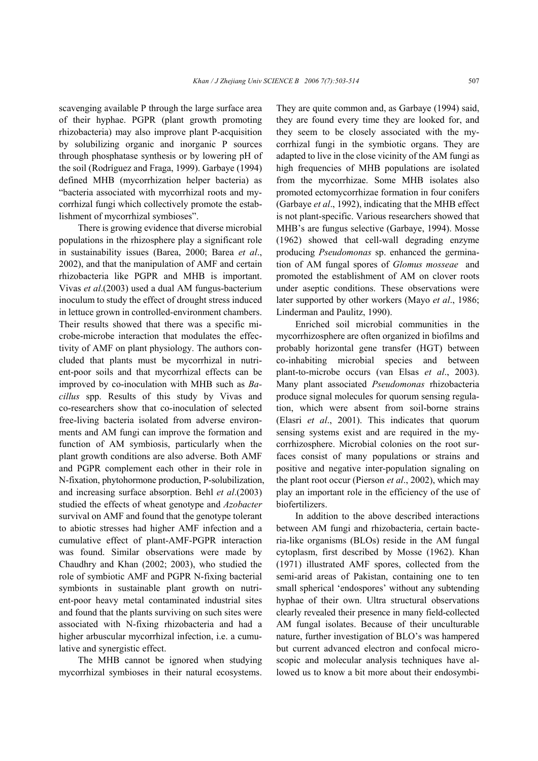scavenging available P through the large surface area of their hyphae. PGPR (plant growth promoting rhizobacteria) may also improve plant P-acquisition by solubilizing organic and inorganic P sources through phosphatase synthesis or by lowering pH of the soil (Rodríguez and Fraga, 1999). Garbaye (1994) defined MHB (mycorrhization helper bacteria) as "bacteria associated with mycorrhizal roots and mycorrhizal fungi which collectively promote the establishment of mycorrhizal symbioses".

There is growing evidence that diverse microbial populations in the rhizosphere play a significant role in sustainability issues (Barea, 2000; Barea *et al*., 2002), and that the manipulation of AMF and certain rhizobacteria like PGPR and MHB is important. Vivas *et al*.(2003) used a dual AM fungus-bacterium inoculum to study the effect of drought stress induced in lettuce grown in controlled-environment chambers. Their results showed that there was a specific microbe-microbe interaction that modulates the effectivity of AMF on plant physiology. The authors concluded that plants must be mycorrhizal in nutrient-poor soils and that mycorrhizal effects can be improved by co-inoculation with MHB such as *Bacillus* spp. Results of this study by Vivas and co-researchers show that co-inoculation of selected free-living bacteria isolated from adverse environments and AM fungi can improve the formation and function of AM symbiosis, particularly when the plant growth conditions are also adverse. Both AMF and PGPR complement each other in their role in N-fixation, phytohormone production, P-solubilization, and increasing surface absorption. Behl *et al*.(2003) studied the effects of wheat genotype and *Azobacter* survival on AMF and found that the genotype tolerant to abiotic stresses had higher AMF infection and a cumulative effect of plant-AMF-PGPR interaction was found. Similar observations were made by Chaudhry and Khan (2002; 2003), who studied the role of symbiotic AMF and PGPR N-fixing bacterial symbionts in sustainable plant growth on nutrient-poor heavy metal contaminated industrial sites and found that the plants surviving on such sites were associated with N-fixing rhizobacteria and had a higher arbuscular mycorrhizal infection, i.e. a cumulative and synergistic effect.

The MHB cannot be ignored when studying mycorrhizal symbioses in their natural ecosystems.

They are quite common and, as Garbaye (1994) said, they are found every time they are looked for, and they seem to be closely associated with the mycorrhizal fungi in the symbiotic organs. They are adapted to live in the close vicinity of the AM fungi as high frequencies of MHB populations are isolated from the mycorrhizae. Some MHB isolates also promoted ectomycorrhizae formation in four conifers (Garbaye *et al*., 1992), indicating that the MHB effect is not plant-specific. Various researchers showed that MHB's are fungus selective (Garbaye, 1994). Mosse (1962) showed that cell-wall degrading enzyme producing *Pseudomonas* sp. enhanced the germination of AM fungal spores of *Glomus mosseae* and promoted the establishment of AM on clover roots under aseptic conditions. These observations were later supported by other workers (Mayo *et al*., 1986; Linderman and Paulitz, 1990).

Enriched soil microbial communities in the mycorrhizosphere are often organized in biofilms and probably horizontal gene transfer (HGT) between co-inhabiting microbial species and between plant-to-microbe occurs (van Elsas *et al*., 2003). Many plant associated *Pseudomonas* rhizobacteria produce signal molecules for quorum sensing regulation, which were absent from soil-borne strains (Elasri *et al*., 2001). This indicates that quorum sensing systems exist and are required in the mycorrhizosphere. Microbial colonies on the root surfaces consist of many populations or strains and positive and negative inter-population signaling on the plant root occur (Pierson *et al*., 2002), which may play an important role in the efficiency of the use of biofertilizers.

In addition to the above described interactions between AM fungi and rhizobacteria, certain bacteria-like organisms (BLOs) reside in the AM fungal cytoplasm, first described by Mosse (1962). Khan (1971) illustrated AMF spores, collected from the semi-arid areas of Pakistan, containing one to ten small spherical 'endospores' without any subtending hyphae of their own. Ultra structural observations clearly revealed their presence in many field-collected AM fungal isolates. Because of their unculturable nature, further investigation of BLO's was hampered but current advanced electron and confocal microscopic and molecular analysis techniques have allowed us to know a bit more about their endosymbi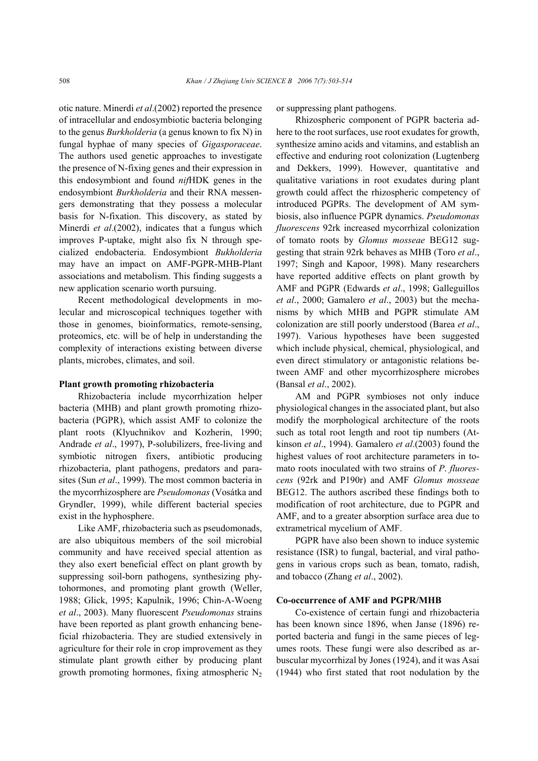otic nature. Minerdi *et al*.(2002) reported the presence of intracellular and endosymbiotic bacteria belonging to the genus *Burkholderia* (a genus known to fix N) in fungal hyphae of many species of *Gigasporaceae*. The authors used genetic approaches to investigate the presence of N-fixing genes and their expression in this endosymbiont and found *nif*HDK genes in the endosymbiont *Burkholderia* and their RNA messengers demonstrating that they possess a molecular basis for N-fixation. This discovery, as stated by Minerdi *et al*.(2002), indicates that a fungus which improves P-uptake, might also fix N through specialized endobacteria. Endosymbiont *Bukholderia* may have an impact on AMF-PGPR-MHB-Plant associations and metabolism. This finding suggests a new application scenario worth pursuing.

Recent methodological developments in molecular and microscopical techniques together with those in genomes, bioinformatics, remote-sensing, proteomics, etc. will be of help in understanding the complexity of interactions existing between diverse plants, microbes, climates, and soil.

#### **Plant growth promoting rhizobacteria**

Rhizobacteria include mycorrhization helper bacteria (MHB) and plant growth promoting rhizobacteria (PGPR), which assist AMF to colonize the plant roots (Klyuchnikov and Kozherin, 1990; Andrade *et al*., 1997), P-solubilizers, free-living and symbiotic nitrogen fixers, antibiotic producing rhizobacteria, plant pathogens, predators and parasites (Sun *et al*., 1999). The most common bacteria in the mycorrhizosphere are *Pseudomonas* (Vosátka and Gryndler, 1999), while different bacterial species exist in the hyphosphere.

Like AMF, rhizobacteria such as pseudomonads, are also ubiquitous members of the soil microbial community and have received special attention as they also exert beneficial effect on plant growth by suppressing soil-born pathogens, synthesizing phytohormones, and promoting plant growth (Weller, 1988; Glick, 1995; Kapulnik, 1996; Chin-A-Woeng *et al*., 2003). Many fluorescent *Pseudomonas* strains have been reported as plant growth enhancing beneficial rhizobacteria. They are studied extensively in agriculture for their role in crop improvement as they stimulate plant growth either by producing plant growth promoting hormones, fixing atmospheric  $N_2$ 

or suppressing plant pathogens.

Rhizospheric component of PGPR bacteria adhere to the root surfaces, use root exudates for growth, synthesize amino acids and vitamins, and establish an effective and enduring root colonization (Lugtenberg and Dekkers, 1999). However, quantitative and qualitative variations in root exudates during plant growth could affect the rhizospheric competency of introduced PGPRs. The development of AM symbiosis, also influence PGPR dynamics. *Pseudomonas fluorescens* 92rk increased mycorrhizal colonization of tomato roots by *Glomus mosseae* BEG12 suggesting that strain 92rk behaves as MHB (Toro *et al*., 1997; Singh and Kapoor, 1998). Many researchers have reported additive effects on plant growth by AMF and PGPR (Edwards *et al*., 1998; Galleguillos *et al*., 2000; Gamalero *et al*., 2003) but the mechanisms by which MHB and PGPR stimulate AM colonization are still poorly understood (Barea *et al*., 1997). Various hypotheses have been suggested which include physical, chemical, physiological, and even direct stimulatory or antagonistic relations between AMF and other mycorrhizosphere microbes (Bansal *et al*., 2002).

AM and PGPR symbioses not only induce physiological changes in the associated plant, but also modify the morphological architecture of the roots such as total root length and root tip numbers (Atkinson *et al*., 1994). Gamalero *et al*.(2003) found the highest values of root architecture parameters in tomato roots inoculated with two strains of *P*. *fluorescens* (92rk and P190r) and AMF *Glomus mosseae*  BEG12. The authors ascribed these findings both to modification of root architecture, due to PGPR and AMF, and to a greater absorption surface area due to extrametrical mycelium of AMF.

PGPR have also been shown to induce systemic resistance (ISR) to fungal, bacterial, and viral pathogens in various crops such as bean, tomato, radish, and tobacco (Zhang *et al*., 2002).

#### **Co-occurrence of AMF and PGPR/MHB**

Co-existence of certain fungi and rhizobacteria has been known since 1896, when Janse (1896) reported bacteria and fungi in the same pieces of legumes roots. These fungi were also described as arbuscular mycorrhizal by Jones (1924), and it was Asai (1944) who first stated that root nodulation by the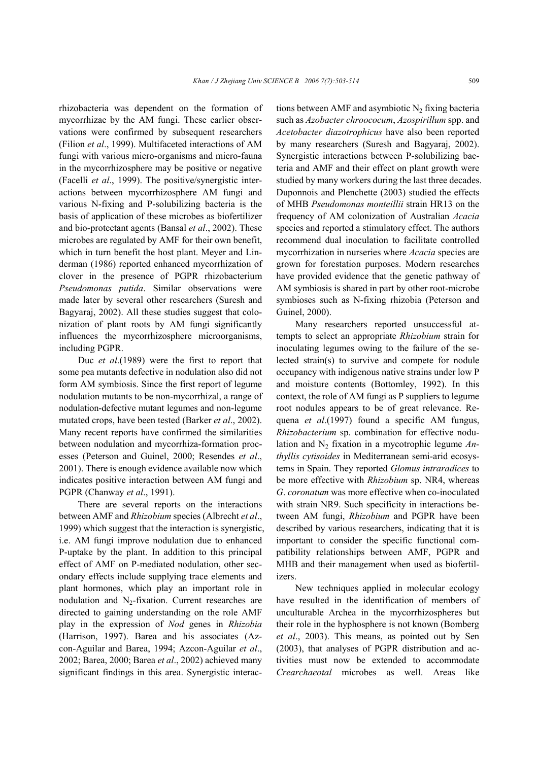rhizobacteria was dependent on the formation of mycorrhizae by the AM fungi. These earlier observations were confirmed by subsequent researchers (Filion *et al*., 1999). Multifaceted interactions of AM fungi with various micro-organisms and micro-fauna in the mycorrhizosphere may be positive or negative (Facelli *et al*., 1999). The positive/synergistic interactions between mycorrhizosphere AM fungi and various N-fixing and P-solubilizing bacteria is the basis of application of these microbes as biofertilizer and bio-protectant agents (Bansal *et al*., 2002). These microbes are regulated by AMF for their own benefit, which in turn benefit the host plant. Meyer and Linderman (1986) reported enhanced mycorrhization of clover in the presence of PGPR rhizobacterium *Pseudomonas putida*. Similar observations were made later by several other researchers (Suresh and Bagyaraj, 2002). All these studies suggest that colonization of plant roots by AM fungi significantly influences the mycorrhizosphere microorganisms, including PGPR.

Duc *et al*.(1989) were the first to report that some pea mutants defective in nodulation also did not form AM symbiosis. Since the first report of legume nodulation mutants to be non-mycorrhizal, a range of nodulation-defective mutant legumes and non-legume mutated crops, have been tested (Barker *et al*., 2002). Many recent reports have confirmed the similarities between nodulation and mycorrhiza-formation processes (Peterson and Guinel, 2000; Resendes *et al*., 2001). There is enough evidence available now which indicates positive interaction between AM fungi and PGPR (Chanway *et al*., 1991).

There are several reports on the interactions between AMF and *Rhizobium* species (Albrecht *et al*., 1999) which suggest that the interaction is synergistic, i.e. AM fungi improve nodulation due to enhanced P-uptake by the plant. In addition to this principal effect of AMF on P-mediated nodulation, other secondary effects include supplying trace elements and plant hormones, which play an important role in nodulation and  $N_2$ -fixation. Current researches are directed to gaining understanding on the role AMF play in the expression of *Nod* genes in *Rhizobia* (Harrison, 1997). Barea and his associates (Azcon-Aguilar and Barea, 1994; Azcon-Aguilar *et al*., 2002; Barea, 2000; Barea *et al*., 2002) achieved many significant findings in this area. Synergistic interactions between AMF and asymbiotic  $N_2$  fixing bacteria such as *Azobacter chroococum*, *Azospirillum* spp. and *Acetobacter diazotrophicus* have also been reported by many researchers (Suresh and Bagyaraj, 2002). Synergistic interactions between P-solubilizing bacteria and AMF and their effect on plant growth were studied by many workers during the last three decades. Duponnois and Plenchette (2003) studied the effects of MHB *Pseudomonas monteillii* strain HR13 on the frequency of AM colonization of Australian *Acacia* species and reported a stimulatory effect. The authors recommend dual inoculation to facilitate controlled mycorrhization in nurseries where *Acacia* species are grown for forestation purposes. Modern researches have provided evidence that the genetic pathway of AM symbiosis is shared in part by other root-microbe symbioses such as N-fixing rhizobia (Peterson and Guinel, 2000).

Many researchers reported unsuccessful attempts to select an appropriate *Rhizobium* strain for inoculating legumes owing to the failure of the selected strain(s) to survive and compete for nodule occupancy with indigenous native strains under low P and moisture contents (Bottomley, 1992). In this context, the role of AM fungi as P suppliers to legume root nodules appears to be of great relevance. Requena *et al*.(1997) found a specific AM fungus, *Rhizobacterium* sp. combination for effective nodulation and N<sub>2</sub> fixation in a mycotrophic legume *Anthyllis cytisoides* in Mediterranean semi-arid ecosystems in Spain. They reported *Glomus intraradices* to be more effective with *Rhizobium* sp. NR4, whereas *G*. *coronatum* was more effective when co-inoculated with strain NR9. Such specificity in interactions between AM fungi, *Rhizobium* and PGPR have been described by various researchers, indicating that it is important to consider the specific functional compatibility relationships between AMF, PGPR and MHB and their management when used as biofertilizers.

New techniques applied in molecular ecology have resulted in the identification of members of unculturable Archea in the mycorrhizospheres but their role in the hyphosphere is not known (Bomberg *et al*., 2003). This means, as pointed out by Sen (2003), that analyses of PGPR distribution and activities must now be extended to accommodate *Crearchaeotal* microbes as well. Areas like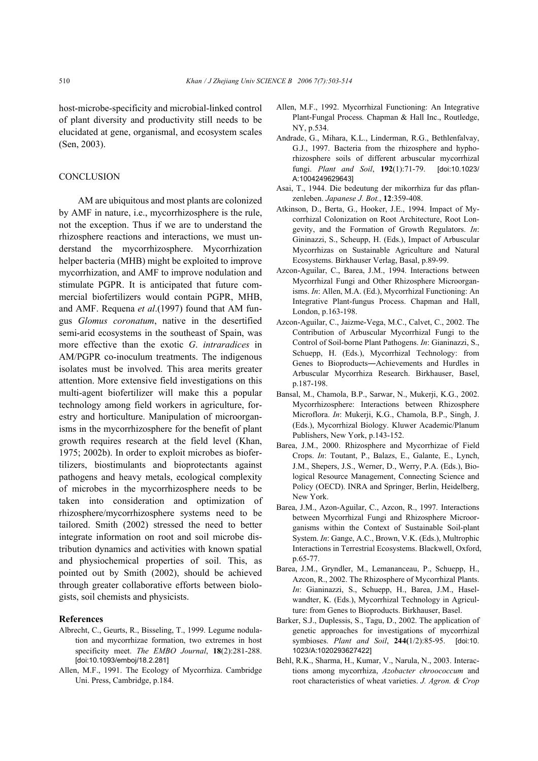host-microbe-specificity and microbial-linked control of plant diversity and productivity still needs to be elucidated at gene, organismal, and ecosystem scales (Sen, 2003).

#### **CONCLUSION**

AM are ubiquitous and most plants are colonized by AMF in nature, i.e., mycorrhizosphere is the rule, not the exception. Thus if we are to understand the rhizosphere reactions and interactions, we must understand the mycorrhizosphere. Mycorrhization helper bacteria (MHB) might be exploited to improve mycorrhization, and AMF to improve nodulation and stimulate PGPR. It is anticipated that future commercial biofertilizers would contain PGPR, MHB, and AMF. Requena *et al*.(1997) found that AM fungus *Glomus coronatum*, native in the desertified semi-arid ecosystems in the southeast of Spain, was more effective than the exotic *G*. *intraradices* in AM/PGPR co-inoculum treatments. The indigenous isolates must be involved. This area merits greater attention. More extensive field investigations on this multi-agent biofertilizer will make this a popular technology among field workers in agriculture, forestry and horticulture. Manipulation of microorganisms in the mycorrhizosphere for the benefit of plant growth requires research at the field level (Khan, 1975; 2002b). In order to exploit microbes as biofertilizers, biostimulants and bioprotectants against pathogens and heavy metals, ecological complexity of microbes in the mycorrhizosphere needs to be taken into consideration and optimization of rhizosphere/mycorrhizosphere systems need to be tailored. Smith (2002) stressed the need to better integrate information on root and soil microbe distribution dynamics and activities with known spatial and physiochemical properties of soil. This, as pointed out by Smith (2002), should be achieved through greater collaborative efforts between biologists, soil chemists and physicists.

## **References**

- Albrecht, C., Geurts, R., Bisseling, T., 1999. Legume nodulation and mycorrhizae formation, two extremes in host specificity meet. *The EMBO Journal*, **18**(2):281-288. [doi:10.1093/emboj/18.2.281]
- Allen, M.F., 1991. The Ecology of Mycorrhiza. Cambridge Uni. Press, Cambridge, p.184.
- Allen, M.F., 1992. Mycorrhizal Functioning: An Integrative Plant-Fungal Process*.* Chapman & Hall Inc., Routledge, NY, p.534.
- Andrade, G., Mihara, K.L., Linderman, R.G., Bethlenfalvay, G.J., 1997. Bacteria from the rhizosphere and hyphorhizosphere soils of different arbuscular mycorrhizal fungi. *Plant and Soil*, **192**(1):71-79. [doi:10.1023/ A:1004249629643]
- Asai, T., 1944. Die bedeutung der mikorrhiza fur das pflanzenleben. *Japanese J. Bot.*, **12**:359-408.
- Atkinson, D., Berta, G., Hooker, J.E., 1994. Impact of Mycorrhizal Colonization on Root Architecture, Root Longevity, and the Formation of Growth Regulators. *In*: Gininazzi, S., Scheupp, H. (Eds.), Impact of Arbuscular Mycorrhizas on Sustainable Agriculture and Natural Ecosystems. Birkhauser Verlag, Basal, p.89-99.
- Azcon-Aguilar, C., Barea, J.M., 1994. Interactions between Mycorrhizal Fungi and Other Rhizosphere Microorganisms. *In*: Allen, M.A. (Ed.), Mycorrhizal Functioning: An Integrative Plant-fungus Process. Chapman and Hall, London, p.163-198.
- Azcon-Aguilar, C., Jaizme-Vega, M.C., Calvet, C., 2002. The Contribution of Arbuscular Mycorrhizal Fungi to the Control of Soil-borne Plant Pathogens. *In*: Gianinazzi, S., Schuepp, H. (Eds.), Mycorrhizal Technology: from Genes to Bioproducts―Achievements and Hurdles in Arbuscular Mycorrhiza Research. Birkhauser, Basel, p.187-198.
- Bansal, M., Chamola, B.P., Sarwar, N., Mukerji, K.G., 2002. Mycorrhizosphere: Interactions between Rhizosphere Microflora. *In*: Mukerji, K.G., Chamola, B.P., Singh, J. (Eds.), Mycorrhizal Biology. Kluwer Academic/Planum Publishers, New York, p.143-152.
- Barea, J.M., 2000. Rhizosphere and Mycorrhizae of Field Crops. *In*: Toutant, P., Balazs, E., Galante, E., Lynch, J.M., Shepers, J.S., Werner, D., Werry, P.A. (Eds.), Biological Resource Management, Connecting Science and Policy (OECD). INRA and Springer, Berlin, Heidelberg, New York.
- Barea, J.M., Azon-Aguilar, C., Azcon, R., 1997. Interactions between Mycorrhizal Fungi and Rhizosphere Microorganisms within the Context of Sustainable Soil-plant System. *In*: Gange, A.C., Brown, V.K. (Eds.), Multrophic Interactions in Terrestrial Ecosystems. Blackwell, Oxford, p.65-77.
- Barea, J.M., Gryndler, M., Lemananceau, P., Schuepp, H., Azcon, R., 2002. The Rhizosphere of Mycorrhizal Plants. *In*: Gianinazzi, S., Schuepp, H., Barea, J.M., Haselwandter, K. (Eds.), Mycorrhizal Technology in Agriculture: from Genes to Bioproducts. Birkhauser, Basel.
- Barker, S.J., Duplessis, S., Tagu, D., 2002. The application of genetic approaches for investigations of mycorrhizal symbioses. *Plant and Soil*, **244(**1/2):85-95. [doi:10. 1023/A:1020293627422]
- Behl, R.K., Sharma, H., Kumar, V., Narula, N., 2003. Interactions among mycorrhiza, *Azobacter chroococcum* and root characteristics of wheat varieties. *J. Agron. & Crop*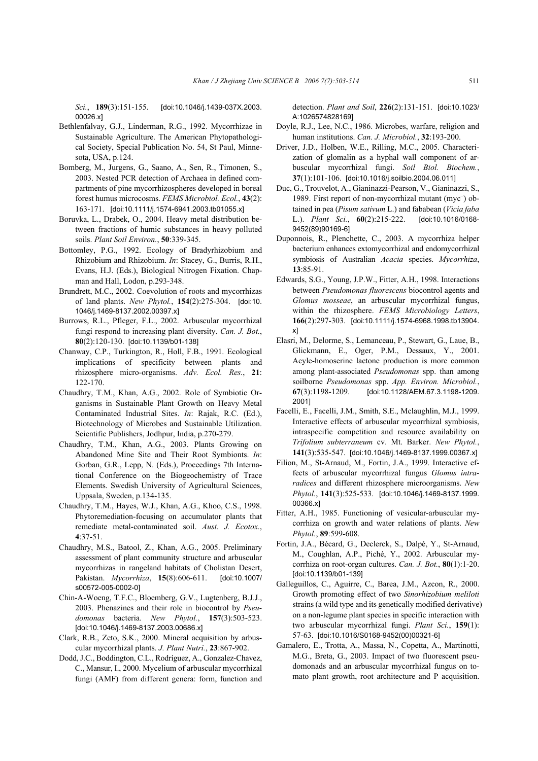*Sci.*, **189**(3):151-155. [doi:10.1046/j.1439-037X.2003. 00026.x]

- Bethlenfalvay, G.J., Linderman, R.G., 1992. Mycorrhizae in Sustainable Agriculture. The American Phytopathological Society, Special Publication No. 54, St Paul, Minnesota, USA, p.124.
- Bomberg, M., Jurgens, G., Saano, A., Sen, R., Timonen, S., 2003. Nested PCR detection of Archaea in defined compartments of pine mycorrhizospheres developed in boreal forest humus microcosms. *FEMS Microbiol. Ecol.*, **43**(2): 163-171. [doi:10.1111/j.1574-6941.2003.tb01055.x]
- Boruvka, L., Drabek, O., 2004. Heavy metal distribution between fractions of humic substances in heavy polluted soils. *Plant Soil Environ.*, **50**:339-345.
- Bottomley, P.G., 1992. Ecology of Bradyrhizobium and Rhizobium and Rhizobium. *In*: Stacey, G., Burris, R.H., Evans, H.J. (Eds.), Biological Nitrogen Fixation. Chapman and Hall, Lodon, p.293-348.
- Brundrett, M.C., 2002. Coevolution of roots and mycorrhizas of land plants. *New Phytol.*, **154**(2):275-304. [doi:10. 1046/j.1469-8137.2002.00397.x]
- Burrows, R.L., Pfleger, F.L., 2002. Arbuscular mycorrhizal fungi respond to increasing plant diversity. *Can. J. Bot.*, **80**(2):120-130. [doi:10.1139/b01-138]
- Chanway, C.P., Turkington, R., Holl, F.B., 1991. Ecological implications of specificity between plants and rhizosphere micro-organisms. *Adv. Ecol. Res.*, **21**: 122-170.
- Chaudhry, T.M., Khan, A.G., 2002. Role of Symbiotic Organisms in Sustainable Plant Growth on Heavy Metal Contaminated Industrial Sites. *In*: Rajak, R.C. (Ed.), Biotechnology of Microbes and Sustainable Utilization. Scientific Publishers, Jodhpur, India, p.270-279.
- Chaudhry, T.M., Khan, A.G., 2003. Plants Growing on Abandoned Mine Site and Their Root Symbionts. *In*: Gorban, G.R., Lepp, N. (Eds.), Proceedings 7th International Conference on the Biogeochemistry of Trace Elements. Swedish University of Agricultural Sciences, Uppsala, Sweden, p.134-135.
- Chaudhry, T.M., Hayes, W.J., Khan, A.G., Khoo, C.S., 1998. Phytoremediation-focusing on accumulator plants that remediate metal-contaminated soil. *Aust. J. Ecotox.*, **4**:37-51.
- Chaudhry, M.S., Batool, Z., Khan, A.G., 2005. Preliminary assessment of plant community structure and arbuscular mycorrhizas in rangeland habitats of Cholistan Desert, Pakistan. *Mycorrhiza*, **15**(8):606-611. [doi:10.1007/ s00572-005-0002-0]
- Chin-A-Woeng, T.F.C., Bloemberg, G.V., Lugtenberg, B.J.J., 2003. Phenazines and their role in biocontrol by *Pseudomonas* bacteria. *New Phytol.*, **157**(3):503-523. [doi:10.1046/j.1469-8137.2003.00686.x]
- Clark, R.B., Zeto, S.K., 2000. Mineral acquisition by arbuscular mycorrhizal plants. *J. Plant Nutri.*, **23**:867-902.
- Dodd, J.C., Boddington, C.L., Rodríguez, A., Gonzalez-Chavez, C., Mansur, I., 2000. Mycelium of arbuscular mycorrhizal fungi (AMF) from different genera: form, function and

detection. *Plant and Soil*, **226**(2):131-151. [doi:10.1023/ A:1026574828169]

- Doyle, R.J., Lee, N.C., 1986. Microbes, warfare, religion and human institutions. *Can. J. Microbiol.*, **32**:193-200.
- Driver, J.D., Holben, W.E., Rilling, M.C., 2005. Characterization of glomalin as a hyphal wall component of arbuscular mycorrhizal fungi. *Soil Biol. Biochem.*, **37**(1):101-106. [doi:10.1016/j.soilbio.2004.06.011]
- Duc, G., Trouvelot, A., Gianinazzi-Pearson, V., Gianinazzi, S., 1989. First report of non-mycorrhizal mutant (myc<sup>-</sup>) obtained in pea (*Pisum sativum* L.) and fababean (*Vicia faba*  L.). *Plant Sci.*, **60**(2):215-222. [doi:10.1016/0168- 9452(89)90169-6]
- Duponnois, R., Plenchette, C., 2003. A mycorrhiza helper bacterium enhances extomycorrhizal and endomycorrhizal symbiosis of Australian *Acacia* species. *Mycorrhiza*, **13**:85-91.
- Edwards, S.G., Young, J.P.W., Fitter, A.H., 1998. Interactions between *Pseudomonas fluorescens* biocontrol agents and *Glomus mosseae*, an arbuscular mycorrhizal fungus, within the rhizosphere. *FEMS Microbiology Letters*, **166**(2):297-303. [doi:10.1111/j.1574-6968.1998.tb13904. x]
- Elasri, M., Delorme, S., Lemanceau, P., Stewart, G., Laue, B., Glickmann, E., Oger, P.M., Dessaux, Y., 2001. Acyle-homoserine lactone production is more common among plant-associated *Pseudomonas* spp. than among soilborne *Pseudomonas* spp. *App. Environ. Microbiol.*, **67**(3):1198-1209. [doi:10.1128/AEM.67.3.1198-1209. 2001]
- Facelli, E., Facelli, J.M., Smith, S.E., Mclaughlin, M.J., 1999. Interactive effects of arbuscular mycorrhizal symbiosis, intraspecific competition and resource availability on *Trifolium subterraneum* cv. Mt. Barker. *New Phytol.*, **141**(3):535-547. [doi:10.1046/j.1469-8137.1999.00367.x]
- Filion, M., St-Arnaud, M., Fortin, J.A., 1999. Interactive effects of arbuscular mycorrhizal fungus *Glomus intraradices* and different rhizosphere microorganisms. *New Phytol.*, **141**(3):525-533. [doi:10.1046/j.1469-8137.1999. 00366.x]
- Fitter, A.H., 1985. Functioning of vesicular-arbuscular mycorrhiza on growth and water relations of plants. *New Phytol.*, **89**:599-608.
- Fortin, J.A., Bécard, G., Declerck, S., Dalpé, Y., St-Arnaud, M., Coughlan, A.P., Piché, Y., 2002. Arbuscular mycorrhiza on root-organ cultures. *Can. J. Bot.*, **80**(1):1-20. [doi:10.1139/b01-139]
- Galleguillos, C., Aguirre, C., Barea, J.M., Azcon, R., 2000. Growth promoting effect of two *Sinorhizobium meliloti* strains (a wild type and its genetically modified derivative) on a non-legume plant species in specific interaction with two arbuscular mycorrhizal fungi. *Plant Sci.*, **159**(1): 57-63. [doi:10.1016/S0168-9452(00)00321-6]
- Gamalero, E., Trotta, A., Massa, N., Copetta, A., Martinotti, M.G., Breta, G., 2003. Impact of two fluorescent pseudomonads and an arbuscular mycorrhizal fungus on tomato plant growth, root architecture and P acquisition.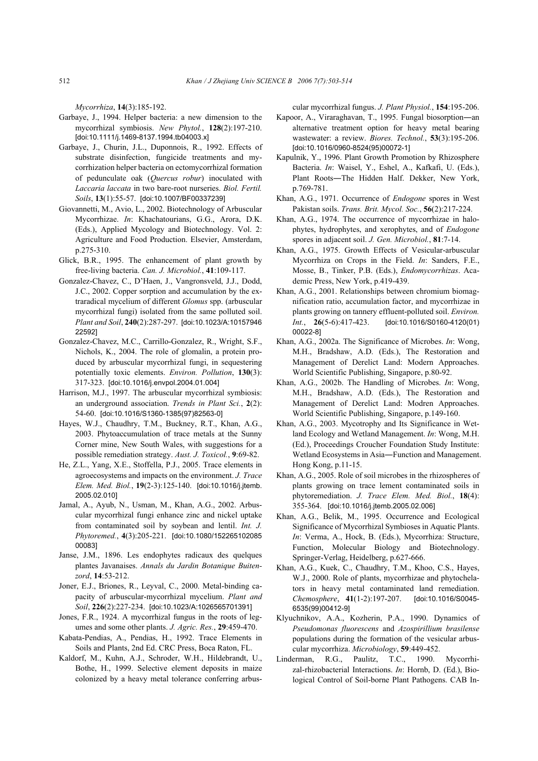*Mycorrhiza*, **14**(3):185-192.

- Garbaye, J., 1994. Helper bacteria: a new dimension to the mycorrhizal symbiosis. *New Phytol.*, **128**(2):197-210. [doi:10.1111/j.1469-8137.1994.tb04003.x]
- Garbaye, J., Churin, J.L., Duponnois, R., 1992. Effects of substrate disinfection, fungicide treatments and mycorrhization helper bacteria on ectomycorrhizal formation of pedunculate oak (*Quercus robur*) inoculated with *Laccaria laccata* in two bare-root nurseries. *Biol. Fertil. Soils*, **13**(1):55-57. [doi:10.1007/BF00337239]
- Giovannetti, M., Avio, L., 2002. Biotechnology of Arbuscular Mycorrhizae. *In*: Khachatourians, G.G., Arora, D.K. (Eds.), Applied Mycology and Biotechnology. Vol. 2: Agriculture and Food Production. Elsevier, Amsterdam, p.275-310.
- Glick, B.R., 1995. The enhancement of plant growth by free-living bacteria. *Can. J. Microbiol.*, **41**:109-117.
- Gonzalez-Chavez, C., D'Haen, J., Vangronsveld, J.J., Dodd, J.C., 2002. Copper sorption and accumulation by the extraradical mycelium of different *Glomus* spp. (arbuscular mycorrhizal fungi) isolated from the same polluted soil. *Plant and Soil*, **240**(2):287-297. [doi:10.1023/A:10157946 22592]
- Gonzalez-Chavez, M.C., Carrillo-Gonzalez, R., Wright, S.F., Nichols, K., 2004. The role of glomalin, a protein produced by arbuscular mycorrhizal fungi, in sequestering potentially toxic elements. *Environ. Pollution*, **130**(3): 317-323. [doi:10.1016/j.envpol.2004.01.004]
- Harrison, M.J., 1997. The arbuscular mycorrhizal symbiosis: an underground association. *Trends in Plant Sci.*, **2**(2): 54-60. [doi:10.1016/S1360-1385(97)82563-0]
- Hayes, W.J., Chaudhry, T.M., Buckney, R.T., Khan, A.G., 2003. Phytoaccumulation of trace metals at the Sunny Corner mine, New South Wales, with suggestions for a possible remediation strategy. *Aust. J. Toxicol.*, **9**:69-82.
- He, Z.L., Yang, X.E., Stoffella, P.J., 2005. Trace elements in agroecosystems and impacts on the environment. *J. Trace Elem. Med. Biol.*, **19**(2-3):125-140. [doi:10.1016/j.jtemb. 2005.02.010]
- Jamal, A., Ayub, N., Usman, M., Khan, A.G., 2002. Arbuscular mycorrhizal fungi enhance zinc and nickel uptake from contaminated soil by soybean and lentil. *Int. J. Phytoremed.*, **4**(3):205-221. [doi:10.1080/152265102085 00083]
- Janse, J.M., 1896. Les endophytes radicaux des quelques plantes Javanaises. *Annals du Jardin Botanique Buitenzord*, **14**:53-212.
- Joner, E.J., Briones, R., Leyval, C., 2000. Metal-binding capacity of arbuscular-mycorrhizal mycelium. *Plant and Soil*, **226**(2):227-234. [doi:10.1023/A:1026565701391]
- Jones, F.R., 1924. A mycorrhizal fungus in the roots of legumes and some other plants. *J. Agric. Res.*, **29**:459-470.
- Kabata-Pendias, A., Pendias, H., 1992. Trace Elements in Soils and Plants, 2nd Ed. CRC Press, Boca Raton, FL.
- Kaldorf, M., Kuhn, A.J., Schroder, W.H., Hildebrandt, U., Bothe, H., 1999. Selective element deposits in maize colonized by a heavy metal tolerance conferring arbus-

cular mycorrhizal fungus. *J. Plant Physiol.*, **154**:195-206.

- Kapoor, A., Viraraghavan, T., 1995. Fungal biosorption―an alternative treatment option for heavy metal bearing wastewater: a review. *Biores. Technol.*, **53**(3):195-206. [doi:10.1016/0960-8524(95)00072-1]
- Kapulnik, Y., 1996. Plant Growth Promotion by Rhizosphere Bacteria. *In*: Waisel, Y., Eshel, A., Kafkafi, U. (Eds.), Plant Roots―The Hidden Half. Dekker, New York, p.769-781.
- Khan, A.G., 1971. Occurrence of *Endogone* spores in West Pakistan soils. *Trans. Brit. Mycol. Soc.*, **56**(2):217-224.
- Khan, A.G., 1974. The occurrence of mycorrhizae in halophytes, hydrophytes, and xerophytes, and of *Endogone* spores in adjacent soil. *J. Gen. Microbiol.*, **81**:7-14.
- Khan, A.G., 1975. Growth Effects of Vesicular-arbuscular Mycorrhiza on Crops in the Field. *In*: Sanders, F.E., Mosse, B., Tinker, P.B. (Eds.), *Endomycorrhizas*. Academic Press, New York, p.419-439.
- Khan, A.G., 2001. Relationships between chromium biomagnification ratio, accumulation factor, and mycorrhizae in plants growing on tannery effluent-polluted soil. *Environ. Int.*, **26**(5-6):417-423. [doi:10.1016/S0160-4120(01) 00022-8]
- Khan, A.G., 2002a. The Significance of Microbes. *In*: Wong, M.H., Bradshaw, A.D. (Eds.), The Restoration and Management of Derelict Land: Modern Approaches. World Scientific Publishing, Singapore, p.80-92.
- Khan, A.G., 2002b. The Handling of Microbes. *In*: Wong, M.H., Bradshaw, A.D. (Eds.), The Restoration and Management of Derelict Land: Modren Approaches. World Scientific Publishing, Singapore, p.149-160.
- Khan, A.G., 2003. Mycotrophy and Its Significance in Wetland Ecology and Wetland Management. *In*: Wong, M.H. (Ed.), Proceedings Croucher Foundation Study Institute: Wetland Ecosystems in Asia―Function and Management. Hong Kong, p.11-15.
- Khan, A.G., 2005. Role of soil microbes in the rhizospheres of plants growing on trace lement contaminated soils in phytoremediation. *J. Trace Elem. Med. Biol.*, **18**(4): 355-364. [doi:10.1016/j.jtemb.2005.02.006]
- Khan, A.G., Belik, M., 1995. Occurrence and Ecological Significance of Mycorrhizal Symbioses in Aquatic Plants. *In*: Verma, A., Hock, B. (Eds.), Mycorrhiza: Structure, Function, Molecular Biology and Biotechnology. Springer-Verlag, Heidelberg, p.627-666.
- Khan, A.G., Kuek, C., Chaudhry, T.M., Khoo, C.S., Hayes, W.J., 2000. Role of plants, mycorrhizae and phytochelators in heavy metal contaminated land remediation. *Chemosphere*, **41**(1-2):197-207. [doi:10.1016/S0045- 6535(99)00412-9]
- Klyuchnikov, A.A., Kozherin, P.A., 1990. Dynamics of *Pseudomonas fluorescens* and *Azospirillium brasilense* populations during the formation of the vesicular arbuscular mycorrhiza. *Microbiology*, **59**:449-452.
- Linderman, R.G., Paulitz, T.C., 1990. Mycorrhizal-rhizobacterial Interactions. *In*: Hornb, D. (Ed.), Biological Control of Soil-borne Plant Pathogens. CAB In-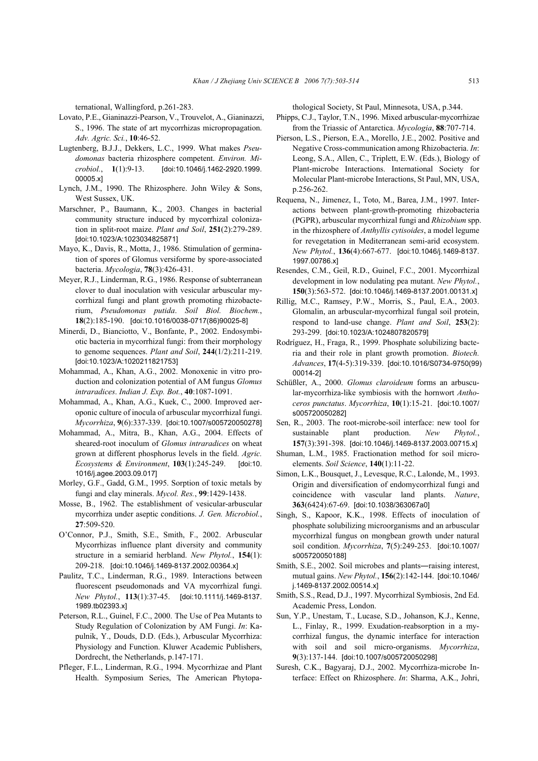ternational, Wallingford, p.261-283.

- Lovato, P.E., Gianinazzi-Pearson, V., Trouvelot, A., Gianinazzi, S., 1996. The state of art mycorrhizas micropropagation. *Adv. Agric. Sci.*, **10**:46-52.
- Lugtenberg, B.J.J., Dekkers, L.C., 1999. What makes *Pseudomonas* bacteria rhizosphere competent. *Environ. Microbiol.*, **1**(1):9-13. [doi:10.1046/j.1462-2920.1999. 00005.x]
- Lynch, J.M., 1990. The Rhizosphere. John Wiley & Sons, West Sussex, UK.
- Marschner, P., Baumann, K., 2003. Changes in bacterial community structure induced by mycorrhizal colonization in split-root maize. *Plant and Soil*, **251**(2):279-289. [doi:10.1023/A:1023034825871]
- Mayo, K., Davis, R., Motta, J., 1986. Stimulation of germination of spores of Glomus versiforme by spore-associated bacteria. *Mycologia*, **78**(3):426-431.
- Meyer, R.J., Linderman, R.G., 1986. Response of subterranean clover to dual inoculation with vesicular arbuscular mycorrhizal fungi and plant growth promoting rhizobacterium, *Pseudomonas putida*. *Soil Biol. Biochem.*, **18**(2):185-190. [doi:10.1016/0038-0717(86)90025-8]
- Minerdi, D., Bianciotto, V., Bonfante, P., 2002. Endosymbiotic bacteria in mycorrhizal fungi: from their morphology to genome sequences. *Plant and Soil*, **244**(1/2):211-219. [doi:10.1023/A:1020211821753]
- Mohammad, A., Khan, A.G., 2002. Monoxenic in vitro production and colonization potential of AM fungus *Glomus intraradices*. *Indian J. Exp. Bot.*, **40**:1087-1091.
- Mohammad, A., Khan, A.G., Kuek, C., 2000. Improved aeroponic culture of inocula of arbuscular mycorrhizal fungi. *Mycorrhiza*, **9**(6):337-339. [doi:10.1007/s005720050278]
- Mohammad, A., Mitra, B., Khan, A.G., 2004. Effects of sheared-root inoculum of *Glomus intraradices* on wheat grown at different phosphorus levels in the field. *Agric. Ecosystems & Environment*, **103**(1):245-249. [doi:10. 1016/j.agee.2003.09.017]
- Morley, G.F., Gadd, G.M., 1995. Sorption of toxic metals by fungi and clay minerals. *Mycol. Res.*, **99**:1429-1438.
- Mosse, B., 1962. The establishment of vesicular-arbuscular mycorrhiza under aseptic conditions. *J. Gen. Microbiol.*, **27**:509-520.
- O'Connor, P.J., Smith, S.E., Smith, F., 2002. Arbuscular Mycorrhizas influence plant diversity and community structure in a semiarid herbland. *New Phytol.*, **154**(1): 209-218. [doi:10.1046/j.1469-8137.2002.00364.x]
- Paulitz, T.C., Linderman, R.G., 1989. Interactions between fluorescent pseudomonads and VA mycorrhizal fungi. *New Phytol.*, **113**(1):37-45. [doi:10.1111/j.1469-8137. 1989.tb02393.x]
- Peterson, R.L., Guinel, F.C., 2000. The Use of Pea Mutants to Study Regulation of Colonization by AM Fungi. *In*: Kapulnik, Y., Douds, D.D. (Eds.), Arbuscular Mycorrhiza: Physiology and Function. Kluwer Academic Publishers, Dordrecht, the Netherlands, p.147-171.
- Pfleger, F.L., Linderman, R.G., 1994. Mycorrhizae and Plant Health. Symposium Series, The American Phytopa-

thological Society, St Paul, Minnesota, USA, p.344.

- Phipps, C.J., Taylor, T.N., 1996. Mixed arbuscular-mycorrhizae from the Triassic of Antarctica. *Mycologia*, **88**:707-714.
- Pierson, L.S., Pierson, E.A., Morello, J.E., 2002. Positive and Negative Cross-communication among Rhizobacteria. *In*: Leong, S.A., Allen, C., Triplett, E.W. (Eds.), Biology of Plant-microbe Interactions. International Society for Molecular Plant-microbe Interactions, St Paul, MN, USA, p.256-262.
- Requena, N., Jimenez, I., Toto, M., Barea, J.M., 1997. Interactions between plant-growth-promoting rhizobacteria (PGPR), arbuscular mycorrhizal fungi and *Rhizobium* spp. in the rhizosphere of *Anthyllis cytisoides*, a model legume for revegetation in Mediterranean semi-arid ecosystem. *New Phytol.*, **136**(4):667-677. [doi:10.1046/j.1469-8137. 1997.00786.x]
- Resendes, C.M., Geil, R.D., Guinel, F.C., 2001. Mycorrhizal development in low nodulating pea mutant. *New Phytol.*, **150**(3):563-572. [doi:10.1046/j.1469-8137.2001.00131.x]
- Rillig, M.C., Ramsey, P.W., Morris, S., Paul, E.A., 2003. Glomalin, an arbuscular-mycorrhizal fungal soil protein, respond to land-use change. *Plant and Soil*, **253**(2): 293-299. [doi:10.1023/A:1024807820579]
- Rodríguez, H., Fraga, R., 1999. Phosphate solubilizing bacteria and their role in plant growth promotion. *Biotech. Advances*, **17**(4-5):319-339. [doi:10.1016/S0734-9750(99) 00014-2]
- Schüßler, A., 2000. *Glomus claroideum* forms an arbuscular-mycorrhiza-like symbiosis with the hornwort *Anthoceros punctatus*. *Mycorrhiza*, **10**(1):15-21. [doi:10.1007/ s005720050282]
- Sen, R., 2003. The root-microbe-soil interface: new tool for sustainable plant production. *New Phytol.*, **157**(3):391-398. [doi:10.1046/j.1469-8137.2003.00715.x]
- Shuman, L.M., 1985. Fractionation method for soil microelements. *Soil Science*, **140**(1):11-22.
- Simon, L.K., Bousquet, J., Levesque, R.C., Lalonde, M., 1993. Origin and diversification of endomycorrhizal fungi and coincidence with vascular land plants. *Nature*, **363**(6424):67-69. [doi:10.1038/363067a0]
- Singh, S., Kapoor, K.K., 1998. Effects of inoculation of phosphate solubilizing microorganisms and an arbuscular mycorrhizal fungus on mongbean growth under natural soil condition. *Mycorrhiza*, **7**(5):249-253. [doi:10.1007/ s005720050188]
- Smith, S.E., 2002. Soil microbes and plants―raising interest, mutual gains. *New Phytol.*, **156**(2):142-144. [doi:10.1046/ j.1469-8137.2002.00514.x]
- Smith, S.S., Read, D.J., 1997. Mycorrhizal Symbiosis, 2nd Ed. Academic Press, London.
- Sun, Y.P., Unestam, T., Lucase, S.D., Johanson, K.J., Kenne, L., Finlay, R., 1999. Exudation-reabsorption in a mycorrhizal fungus, the dynamic interface for interaction with soil and soil micro-organisms. *Mycorrhiza*, **9**(3):137-144. [doi:10.1007/s005720050298]
- Suresh, C.K., Bagyaraj, D.J., 2002. Mycorrhiza-microbe Interface: Effect on Rhizosphere. *In*: Sharma, A.K., Johri,